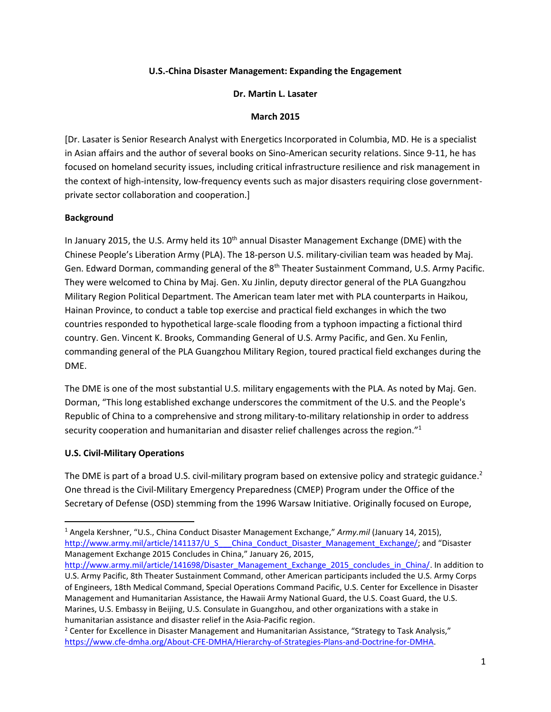#### **U.S.-China Disaster Management: Expanding the Engagement**

#### **Dr. Martin L. Lasater**

### **March 2015**

[Dr. Lasater is Senior Research Analyst with Energetics Incorporated in Columbia, MD. He is a specialist in Asian affairs and the author of several books on Sino-American security relations. Since 9-11, he has focused on homeland security issues, including critical infrastructure resilience and risk management in the context of high-intensity, low-frequency events such as major disasters requiring close governmentprivate sector collaboration and cooperation.]

# **Background**

In January 2015, the U.S. Army held its  $10<sup>th</sup>$  annual Disaster Management Exchange (DME) with the Chinese People's Liberation Army (PLA). The 18-person U.S. military-civilian team was headed by Maj. Gen. Edward Dorman, commanding general of the  $8<sup>th</sup>$  Theater Sustainment Command, U.S. Army Pacific. They were welcomed to China by Maj. Gen. Xu Jinlin, deputy director general of the PLA Guangzhou Military Region Political Department. The American team later met with PLA counterparts in Haikou, Hainan Province, to conduct a table top exercise and practical field exchanges in which the two countries responded to hypothetical large-scale flooding from a typhoon impacting a fictional third country. Gen. Vincent K. Brooks, Commanding General of U.S. Army Pacific, and Gen. Xu Fenlin, commanding general of the PLA Guangzhou Military Region, toured practical field exchanges during the DME.

The DME is one of the most substantial U.S. military engagements with the PLA. As noted by Maj. Gen. Dorman, "This long established exchange underscores the commitment of the U.S. and the People's Republic of China to a comprehensive and strong military-to-military relationship in order to address security cooperation and humanitarian and disaster relief challenges across the region."<sup>1</sup>

# **U.S. Civil-Military Operations**

 $\overline{a}$ 

The DME is part of a broad U.S. civil-military program based on extensive policy and strategic guidance.<sup>2</sup> One thread is the Civil-Military Emergency Preparedness (CMEP) Program under the Office of the Secretary of Defense (OSD) stemming from the 1996 Warsaw Initiative. Originally focused on Europe,

<sup>1</sup> Angela Kershner, "U.S., China Conduct Disaster Management Exchange," *Army.mil* (January 14, 2015), [http://www.army.mil/article/141137/U\\_S\\_\\_\\_China\\_Conduct\\_Disaster\\_Management\\_Exchange/](http://www.army.mil/article/141137/U_S___China_Conduct_Disaster_Management_Exchange/); and "Disaster Management Exchange 2015 Concludes in China," January 26, 2015,

[http://www.army.mil/article/141698/Disaster\\_Management\\_Exchange\\_2015\\_concludes\\_in\\_China/.](http://www.army.mil/article/141698/Disaster_Management_Exchange_2015_concludes_in_China/) In addition to U.S. Army Pacific, 8th Theater Sustainment Command, other American participants included the U.S. Army Corps of Engineers, 18th Medical Command, Special Operations Command Pacific, U.S. Center for Excellence in Disaster Management and Humanitarian Assistance, the Hawaii Army National Guard, the U.S. Coast Guard, the U.S. Marines, U.S. Embassy in Beijing, U.S. Consulate in Guangzhou, and other organizations with a stake in humanitarian assistance and disaster relief in the Asia-Pacific region.

<sup>&</sup>lt;sup>2</sup> Center for Excellence in Disaster Management and Humanitarian Assistance, "Strategy to Task Analysis," [https://www.cfe-dmha.org/About-CFE-DMHA/Hierarchy-of-Strategies-Plans-and-Doctrine-for-DMHA.](https://www.cfe-dmha.org/About-CFE-DMHA/Hierarchy-of-Strategies-Plans-and-Doctrine-for-DMHA)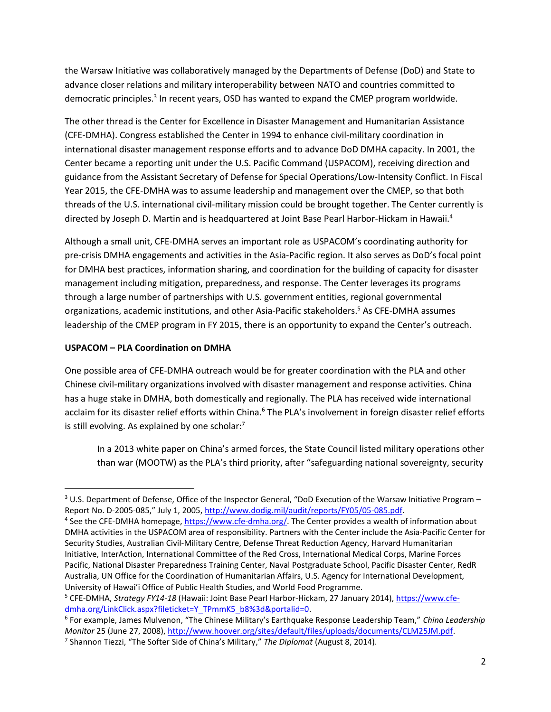the Warsaw Initiative was collaboratively managed by the Departments of Defense (DoD) and State to advance closer relations and military interoperability between NATO and countries committed to democratic principles.<sup>3</sup> In recent years, OSD has wanted to expand the CMEP program worldwide.

The other thread is the Center for Excellence in Disaster Management and Humanitarian Assistance (CFE-DMHA). Congress established the Center in 1994 to enhance civil-military coordination in international disaster management response efforts and to advance DoD DMHA capacity. In 2001, the Center became a reporting unit under the U.S. Pacific Command (USPACOM), receiving direction and guidance from the Assistant Secretary of Defense for Special Operations/Low-Intensity Conflict. In Fiscal Year 2015, the CFE-DMHA was to assume leadership and management over the CMEP, so that both threads of the U.S. international civil-military mission could be brought together. The Center currently is directed by Joseph D. Martin and is headquartered at Joint Base Pearl Harbor-Hickam in Hawaii.<sup>4</sup>

Although a small unit, CFE-DMHA serves an important role as USPACOM's coordinating authority for pre-crisis DMHA engagements and activities in the Asia-Pacific region. It also serves as DoD's focal point for DMHA best practices, information sharing, and coordination for the building of capacity for disaster management including mitigation, preparedness, and response. The Center leverages its programs through a large number of partnerships with U.S. government entities, regional governmental organizations, academic institutions, and other Asia-Pacific stakeholders.<sup>5</sup> As CFE-DMHA assumes leadership of the CMEP program in FY 2015, there is an opportunity to expand the Center's outreach.

#### **USPACOM – PLA Coordination on DMHA**

 $\overline{\phantom{a}}$ 

One possible area of CFE-DMHA outreach would be for greater coordination with the PLA and other Chinese civil-military organizations involved with disaster management and response activities. China has a huge stake in DMHA, both domestically and regionally. The PLA has received wide international acclaim for its disaster relief efforts within China.<sup>6</sup> The PLA's involvement in foreign disaster relief efforts is still evolving. As explained by one scholar: $<sup>7</sup>$ </sup>

In a 2013 white paper on China's armed forces, the State Council listed military operations other than war (MOOTW) as the PLA's third priority, after "safeguarding national sovereignty, security

<sup>&</sup>lt;sup>3</sup> U.S. Department of Defense, Office of the Inspector General, "DoD Execution of the Warsaw Initiative Program -Report No. D-2005-085," July 1, 2005, [http://www.dodig.mil/audit/reports/FY05/05-085.pdf.](http://www.dodig.mil/audit/reports/FY05/05-085.pdf) 

<sup>&</sup>lt;sup>4</sup> See the CFE-DMHA homepage, [https://www.cfe-dmha.org/.](https://www.cfe-dmha.org/) The Center provides a wealth of information about DMHA activities in the USPACOM area of responsibility. Partners with the Center include the Asia-Pacific Center for Security Studies, Australian Civil-Military Centre, Defense Threat Reduction Agency, Harvard Humanitarian Initiative, InterAction, International Committee of the Red Cross, International Medical Corps, Marine Forces Pacific, National Disaster Preparedness Training Center, Naval Postgraduate School, Pacific Disaster Center, RedR Australia, UN Office for the Coordination of Humanitarian Affairs, U.S. Agency for International Development, University of Hawai'i Office of Public Health Studies, and World Food Programme.

<sup>5</sup> CFE-DMHA, *Strategy FY14-18* (Hawaii: Joint Base Pearl Harbor-Hickam, 27 January 2014)[, https://www.cfe](https://www.cfe-dmha.org/LinkClick.aspx?fileticket=Y_TPmmK5_b8%3d&portalid=0)[dmha.org/LinkClick.aspx?fileticket=Y\\_TPmmK5\\_b8%3d&portalid=0.](https://www.cfe-dmha.org/LinkClick.aspx?fileticket=Y_TPmmK5_b8%3d&portalid=0)

<sup>6</sup> For example, James Mulvenon, "The Chinese Military's Earthquake Response Leadership Team," *China Leadership Monitor* 25 (June 27, 2008)[, http://www.hoover.org/sites/default/files/uploads/documents/CLM25JM.pdf.](http://www.hoover.org/sites/default/files/uploads/documents/CLM25JM.pdf)

<sup>7</sup> Shannon Tiezzi, "The Softer Side of China's Military," *The Diplomat* (August 8, 2014).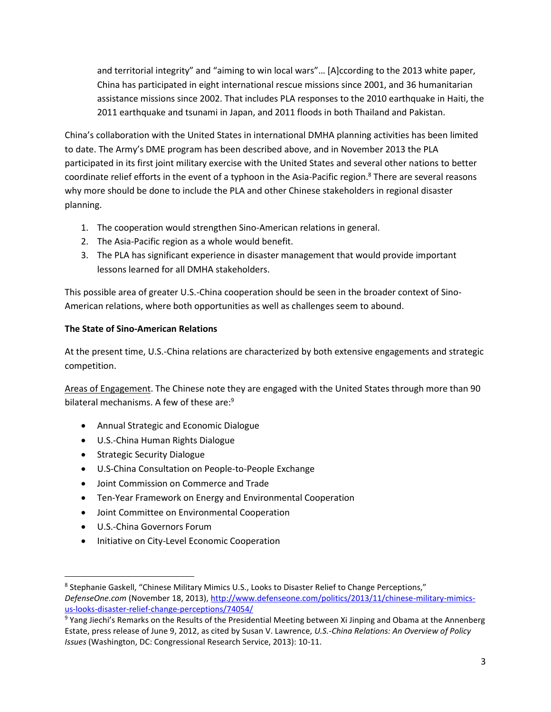and territorial integrity" and "aiming to win local wars"… [A]ccording to the 2013 white paper, China has participated in eight international rescue missions since 2001, and 36 humanitarian assistance missions since 2002. That includes PLA responses to the 2010 earthquake in Haiti, the 2011 earthquake and tsunami in Japan, and 2011 floods in both Thailand and Pakistan.

China's collaboration with the United States in international DMHA planning activities has been limited to date. The Army's DME program has been described above, and in November 2013 the PLA participated in its first joint military exercise with the United States and several other nations to better coordinate relief efforts in the event of a typhoon in the Asia-Pacific region. <sup>8</sup> There are several reasons why more should be done to include the PLA and other Chinese stakeholders in regional disaster planning.

- 1. The cooperation would strengthen Sino-American relations in general.
- 2. The Asia-Pacific region as a whole would benefit.
- 3. The PLA has significant experience in disaster management that would provide important lessons learned for all DMHA stakeholders.

This possible area of greater U.S.-China cooperation should be seen in the broader context of Sino-American relations, where both opportunities as well as challenges seem to abound.

# **The State of Sino-American Relations**

At the present time, U.S.-China relations are characterized by both extensive engagements and strategic competition.

Areas of Engagement. The Chinese note they are engaged with the United States through more than 90 bilateral mechanisms. A few of these are:<sup>9</sup>

- Annual Strategic and Economic Dialogue
- U.S.-China Human Rights Dialogue
- Strategic Security Dialogue
- U.S-China Consultation on People-to-People Exchange
- Joint Commission on Commerce and Trade
- Ten-Year Framework on Energy and Environmental Cooperation
- Joint Committee on Environmental Cooperation
- U.S.-China Governors Forum

 $\overline{a}$ 

**•** Initiative on City-Level Economic Cooperation

<sup>&</sup>lt;sup>8</sup> Stephanie Gaskell, "Chinese Military Mimics U.S., Looks to Disaster Relief to Change Perceptions," *DefenseOne.com* (November 18, 2013), [http://www.defenseone.com/politics/2013/11/chinese-military-mimics](http://www.defenseone.com/politics/2013/11/chinese-military-mimics-us-looks-disaster-relief-change-perceptions/74054/)[us-looks-disaster-relief-change-perceptions/74054/](http://www.defenseone.com/politics/2013/11/chinese-military-mimics-us-looks-disaster-relief-change-perceptions/74054/)

<sup>&</sup>lt;sup>9</sup> Yang Jiechi's Remarks on the Results of the Presidential Meeting between Xi Jinping and Obama at the Annenberg Estate, press release of June 9, 2012, as cited by Susan V. Lawrence, *U.S.-China Relations: An Overview of Policy Issues* (Washington, DC: Congressional Research Service, 2013): 10-11.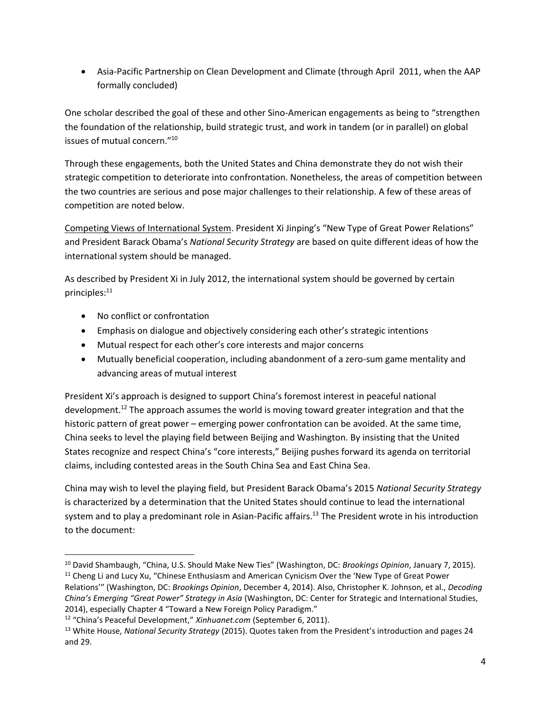Asia-Pacific Partnership on Clean Development and Climate (through April 2011, when the AAP formally concluded)

One scholar described the goal of these and other Sino-American engagements as being to "strengthen the foundation of the relationship, build strategic trust, and work in tandem (or in parallel) on global issues of mutual concern."<sup>10</sup>

Through these engagements, both the United States and China demonstrate they do not wish their strategic competition to deteriorate into confrontation. Nonetheless, the areas of competition between the two countries are serious and pose major challenges to their relationship. A few of these areas of competition are noted below.

Competing Views of International System. President Xi Jinping's "New Type of Great Power Relations" and President Barack Obama's *National Security Strategy* are based on quite different ideas of how the international system should be managed.

As described by President Xi in July 2012, the international system should be governed by certain principles:<sup>11</sup>

- No conflict or confrontation
- Emphasis on dialogue and objectively considering each other's strategic intentions
- Mutual respect for each other's core interests and major concerns
- Mutually beneficial cooperation, including abandonment of a zero-sum game mentality and advancing areas of mutual interest

President Xi's approach is designed to support China's foremost interest in peaceful national development.<sup>12</sup> The approach assumes the world is moving toward greater integration and that the historic pattern of great power – emerging power confrontation can be avoided. At the same time, China seeks to level the playing field between Beijing and Washington. By insisting that the United States recognize and respect China's "core interests," Beijing pushes forward its agenda on territorial claims, including contested areas in the South China Sea and East China Sea.

China may wish to level the playing field, but President Barack Obama's 2015 *National Security Strategy* is characterized by a determination that the United States should continue to lead the international system and to play a predominant role in Asian-Pacific affairs.<sup>13</sup> The President wrote in his introduction to the document:

<sup>11</sup> Cheng Li and Lucy Xu, "Chinese Enthusiasm and American Cynicism Over the 'New Type of Great Power Relations'" (Washington, DC: *Brookings Opinion*, December 4, 2014). Also, Christopher K. Johnson, et al., *Decoding China's Emerging "Great Power" Strategy in Asia* (Washington, DC: Center for Strategic and International Studies, 2014), especially Chapter 4 "Toward a New Foreign Policy Paradigm."

 $\overline{\phantom{a}}$ <sup>10</sup> David Shambaugh, "China, U.S. Should Make New Ties" (Washington, DC: *Brookings Opinion*, January 7, 2015).

<sup>12</sup> "China's Peaceful Development," *Xinhuanet.com* (September 6, 2011).

<sup>13</sup> White House, *National Security Strategy* (2015). Quotes taken from the President's introduction and pages 24 and 29.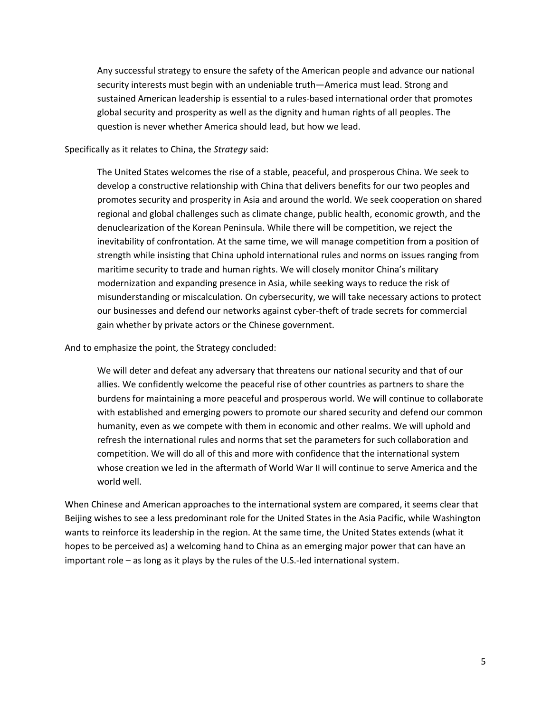Any successful strategy to ensure the safety of the American people and advance our national security interests must begin with an undeniable truth—America must lead. Strong and sustained American leadership is essential to a rules-based international order that promotes global security and prosperity as well as the dignity and human rights of all peoples. The question is never whether America should lead, but how we lead.

#### Specifically as it relates to China, the *Strategy* said:

The United States welcomes the rise of a stable, peaceful, and prosperous China. We seek to develop a constructive relationship with China that delivers benefits for our two peoples and promotes security and prosperity in Asia and around the world. We seek cooperation on shared regional and global challenges such as climate change, public health, economic growth, and the denuclearization of the Korean Peninsula. While there will be competition, we reject the inevitability of confrontation. At the same time, we will manage competition from a position of strength while insisting that China uphold international rules and norms on issues ranging from maritime security to trade and human rights. We will closely monitor China's military modernization and expanding presence in Asia, while seeking ways to reduce the risk of misunderstanding or miscalculation. On cybersecurity, we will take necessary actions to protect our businesses and defend our networks against cyber-theft of trade secrets for commercial gain whether by private actors or the Chinese government.

And to emphasize the point, the Strategy concluded:

We will deter and defeat any adversary that threatens our national security and that of our allies. We confidently welcome the peaceful rise of other countries as partners to share the burdens for maintaining a more peaceful and prosperous world. We will continue to collaborate with established and emerging powers to promote our shared security and defend our common humanity, even as we compete with them in economic and other realms. We will uphold and refresh the international rules and norms that set the parameters for such collaboration and competition. We will do all of this and more with confidence that the international system whose creation we led in the aftermath of World War II will continue to serve America and the world well.

When Chinese and American approaches to the international system are compared, it seems clear that Beijing wishes to see a less predominant role for the United States in the Asia Pacific, while Washington wants to reinforce its leadership in the region. At the same time, the United States extends (what it hopes to be perceived as) a welcoming hand to China as an emerging major power that can have an important role – as long as it plays by the rules of the U.S.-led international system.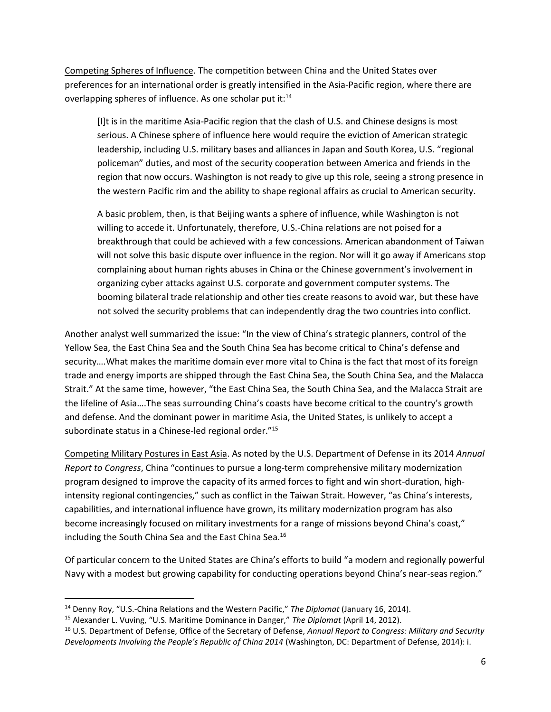Competing Spheres of Influence. The competition between China and the United States over preferences for an international order is greatly intensified in the Asia-Pacific region, where there are overlapping spheres of influence. As one scholar put it:<sup>14</sup>

[I]t is in the maritime Asia-Pacific region that the clash of U.S. and Chinese designs is most serious. A Chinese sphere of influence here would require the eviction of American strategic leadership, including U.S. military bases and alliances in Japan and South Korea, U.S. "regional policeman" duties, and most of the security cooperation between America and friends in the region that now occurs. Washington is not ready to give up this role, seeing a strong presence in the western Pacific rim and the ability to shape regional affairs as crucial to American security.

A basic problem, then, is that Beijing wants a sphere of influence, while Washington is not willing to accede it. Unfortunately, therefore, U.S.-China relations are not poised for a breakthrough that could be achieved with a few concessions. American abandonment of Taiwan will not solve this basic dispute over influence in the region. Nor will it go away if Americans stop complaining about human rights abuses in China or the Chinese government's involvement in organizing cyber attacks against U.S. corporate and government computer systems. The booming bilateral trade relationship and other ties create reasons to avoid war, but these have not solved the security problems that can independently drag the two countries into conflict.

Another analyst well summarized the issue: "In the view of China's strategic planners, control of the Yellow Sea, the East China Sea and the South China Sea has become critical to China's defense and security….What makes the maritime domain ever more vital to China is the fact that most of its foreign trade and energy imports are shipped through the East China Sea, the South China Sea, and the Malacca Strait." At the same time, however, "the East China Sea, the South China Sea, and the Malacca Strait are the lifeline of Asia….The seas surrounding China's coasts have become critical to the country's growth and defense. And the dominant power in maritime Asia, the United States, is unlikely to accept a subordinate status in a Chinese-led regional order."<sup>15</sup>

Competing Military Postures in East Asia. As noted by the U.S. Department of Defense in its 2014 *Annual Report to Congress*, China "continues to pursue a long-term comprehensive military modernization program designed to improve the capacity of its armed forces to fight and win short-duration, highintensity regional contingencies," such as conflict in the Taiwan Strait. However, "as China's interests, capabilities, and international influence have grown, its military modernization program has also become increasingly focused on military investments for a range of missions beyond China's coast," including the South China Sea and the East China Sea.<sup>16</sup>

Of particular concern to the United States are China's efforts to build "a modern and regionally powerful Navy with a modest but growing capability for conducting operations beyond China's near-seas region."

 $\overline{a}$ 

<sup>14</sup> Denny Roy, "U.S.-China Relations and the Western Pacific," *The Diplomat* (January 16, 2014).

<sup>15</sup> Alexander L. Vuving, "U.S. Maritime Dominance in Danger," *The Diplomat* (April 14, 2012).

<sup>16</sup> U.S. Department of Defense, Office of the Secretary of Defense, *Annual Report to Congress: Military and Security Developments Involving the People's Republic of China 2014* (Washington, DC: Department of Defense, 2014): i.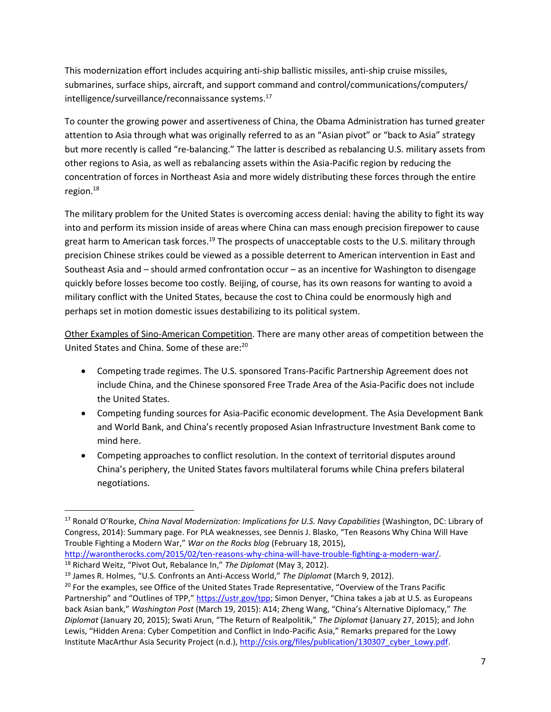This modernization effort includes acquiring anti-ship ballistic missiles, anti-ship cruise missiles, submarines, surface ships, aircraft, and support command and control/communications/computers/ intelligence/surveillance/reconnaissance systems.<sup>17</sup>

To counter the growing power and assertiveness of China, the Obama Administration has turned greater attention to Asia through what was originally referred to as an "Asian pivot" or "back to Asia" strategy but more recently is called "re-balancing." The latter is described as rebalancing U.S. military assets from other regions to Asia, as well as rebalancing assets within the Asia-Pacific region by reducing the concentration of forces in Northeast Asia and more widely distributing these forces through the entire region. 18

The military problem for the United States is overcoming access denial: having the ability to fight its way into and perform its mission inside of areas where China can mass enough precision firepower to cause great harm to American task forces.<sup>19</sup> The prospects of unacceptable costs to the U.S. military through precision Chinese strikes could be viewed as a possible deterrent to American intervention in East and Southeast Asia and – should armed confrontation occur – as an incentive for Washington to disengage quickly before losses become too costly. Beijing, of course, has its own reasons for wanting to avoid a military conflict with the United States, because the cost to China could be enormously high and perhaps set in motion domestic issues destabilizing to its political system.

Other Examples of Sino-American Competition. There are many other areas of competition between the United States and China. Some of these are:<sup>20</sup>

- Competing trade regimes. The U.S. sponsored Trans-Pacific Partnership Agreement does not include China, and the Chinese sponsored Free Trade Area of the Asia-Pacific does not include the United States.
- Competing funding sources for Asia-Pacific economic development. The Asia Development Bank and World Bank, and China's recently proposed Asian Infrastructure Investment Bank come to mind here.
- Competing approaches to conflict resolution. In the context of territorial disputes around China's periphery, the United States favors multilateral forums while China prefers bilateral negotiations.

 $\overline{\phantom{a}}$ <sup>17</sup> Ronald O'Rourke, *China Naval Modernization: Implications for U.S. Navy Capabilities* (Washington, DC: Library of Congress, 2014): Summary page. For PLA weaknesses, see Dennis J. Blasko, "Ten Reasons Why China Will Have Trouble Fighting a Modern War," *War on the Rocks blog* (February 18, 2015), [http://warontherocks.com/2015/02/ten-reasons-why-china-will-have-trouble-fighting-a-modern-war/.](http://warontherocks.com/2015/02/ten-reasons-why-china-will-have-trouble-fighting-a-modern-war/)

<sup>18</sup> Richard Weitz, "Pivot Out, Rebalance In," *The Diplomat* (May 3, 2012).

<sup>19</sup> James R. Holmes, "U.S. Confronts an Anti-Access World," *The Diplomat* (March 9, 2012).

<sup>&</sup>lt;sup>20</sup> For the examples, see Office of the United States Trade Representative, "Overview of the Trans Pacific Partnership" and "Outlines of TPP," <https://ustr.gov/tpp>; Simon Denyer, "China takes a jab at U.S. as Europeans back Asian bank," *Washington Post* (March 19, 2015): A14; Zheng Wang, "China's Alternative Diplomacy," *The Diplomat* (January 20, 2015); Swati Arun, "The Return of Realpolitik," *The Diplomat* (January 27, 2015); and John Lewis, "Hidden Arena: Cyber Competition and Conflict in Indo-Pacific Asia," Remarks prepared for the Lowy Institute MacArthur Asia Security Project (n.d.)[, http://csis.org/files/publication/130307\\_cyber\\_Lowy.pdf.](http://csis.org/files/publication/130307_cyber_Lowy.pdf)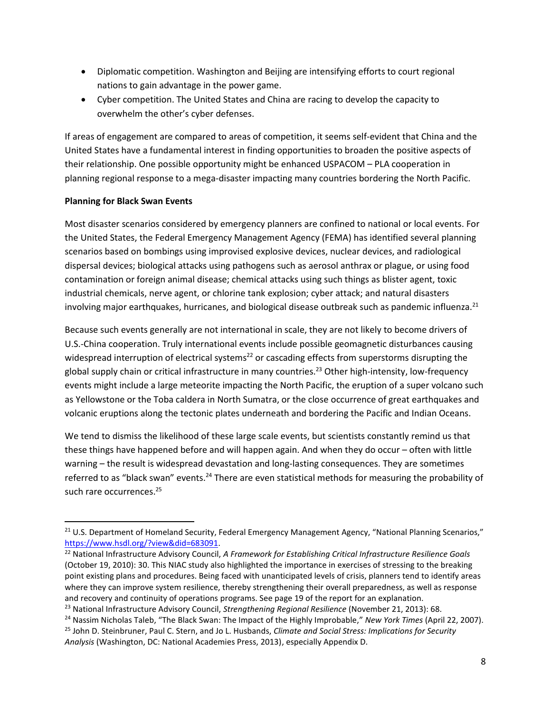- Diplomatic competition. Washington and Beijing are intensifying efforts to court regional nations to gain advantage in the power game.
- Cyber competition. The United States and China are racing to develop the capacity to overwhelm the other's cyber defenses.

If areas of engagement are compared to areas of competition, it seems self-evident that China and the United States have a fundamental interest in finding opportunities to broaden the positive aspects of their relationship. One possible opportunity might be enhanced USPACOM – PLA cooperation in planning regional response to a mega-disaster impacting many countries bordering the North Pacific.

# **Planning for Black Swan Events**

 $\overline{a}$ 

Most disaster scenarios considered by emergency planners are confined to national or local events. For the United States, the Federal Emergency Management Agency (FEMA) has identified several planning scenarios based on bombings using improvised explosive devices, nuclear devices, and radiological dispersal devices; biological attacks using pathogens such as aerosol anthrax or plague, or using food contamination or foreign animal disease; chemical attacks using such things as blister agent, toxic industrial chemicals, nerve agent, or chlorine tank explosion; cyber attack; and natural disasters involving major earthquakes, hurricanes, and biological disease outbreak such as pandemic influenza.<sup>21</sup>

Because such events generally are not international in scale, they are not likely to become drivers of U.S.-China cooperation. Truly international events include possible geomagnetic disturbances causing widespread interruption of electrical systems<sup>22</sup> or cascading effects from superstorms disrupting the global supply chain or critical infrastructure in many countries.<sup>23</sup> Other high-intensity, low-frequency events might include a large meteorite impacting the North Pacific, the eruption of a super volcano such as Yellowstone or the Toba caldera in North Sumatra, or the close occurrence of great earthquakes and volcanic eruptions along the tectonic plates underneath and bordering the Pacific and Indian Oceans.

We tend to dismiss the likelihood of these large scale events, but scientists constantly remind us that these things have happened before and will happen again. And when they do occur – often with little warning – the result is widespread devastation and long-lasting consequences. They are sometimes referred to as "black swan" events.<sup>24</sup> There are even statistical methods for measuring the probability of such rare occurrences.<sup>25</sup>

<sup>&</sup>lt;sup>21</sup> U.S. Department of Homeland Security, Federal Emergency Management Agency, "National Planning Scenarios," [https://www.hsdl.org/?view&did=683091.](https://www.hsdl.org/?view&did=683091)

<sup>22</sup> National Infrastructure Advisory Council, *A Framework for Establishing Critical Infrastructure Resilience Goals* (October 19, 2010): 30. This NIAC study also highlighted the importance in exercises of stressing to the breaking point existing plans and procedures. Being faced with unanticipated levels of crisis, planners tend to identify areas where they can improve system resilience, thereby strengthening their overall preparedness, as well as response and recovery and continuity of operations programs. See page 19 of the report for an explanation.

<sup>23</sup> National Infrastructure Advisory Council, *Strengthening Regional Resilience* (November 21, 2013): 68.

<sup>24</sup> Nassim Nicholas Taleb, "The Black Swan: The Impact of the Highly Improbable," *New York Times* (April 22, 2007). <sup>25</sup> John D. Steinbruner, Paul C. Stern, and Jo L. Husbands, *Climate and Social Stress: Implications for Security Analysis* (Washington, DC: National Academies Press, 2013), especially Appendix D.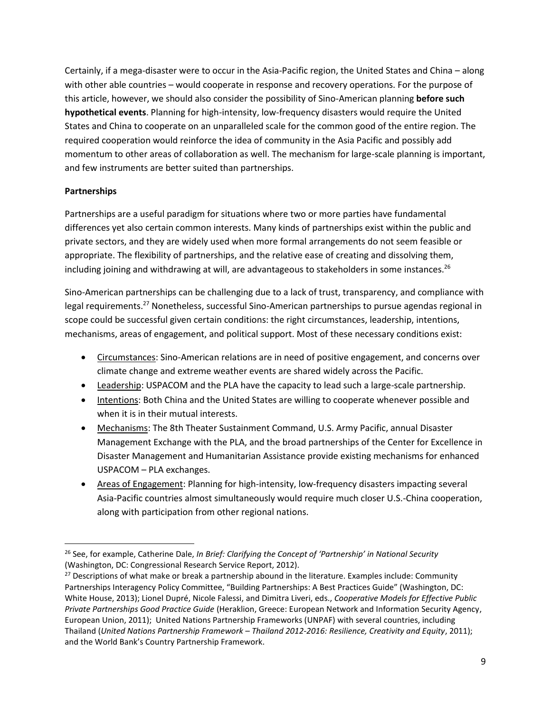Certainly, if a mega-disaster were to occur in the Asia-Pacific region, the United States and China – along with other able countries – would cooperate in response and recovery operations. For the purpose of this article, however, we should also consider the possibility of Sino-American planning **before such hypothetical events**. Planning for high-intensity, low-frequency disasters would require the United States and China to cooperate on an unparalleled scale for the common good of the entire region. The required cooperation would reinforce the idea of community in the Asia Pacific and possibly add momentum to other areas of collaboration as well. The mechanism for large-scale planning is important, and few instruments are better suited than partnerships.

# **Partnerships**

Partnerships are a useful paradigm for situations where two or more parties have fundamental differences yet also certain common interests. Many kinds of partnerships exist within the public and private sectors, and they are widely used when more formal arrangements do not seem feasible or appropriate. The flexibility of partnerships, and the relative ease of creating and dissolving them, including joining and withdrawing at will, are advantageous to stakeholders in some instances.<sup>26</sup>

Sino-American partnerships can be challenging due to a lack of trust, transparency, and compliance with legal requirements.<sup>27</sup> Nonetheless, successful Sino-American partnerships to pursue agendas regional in scope could be successful given certain conditions: the right circumstances, leadership, intentions, mechanisms, areas of engagement, and political support. Most of these necessary conditions exist:

- Circumstances: Sino-American relations are in need of positive engagement, and concerns over climate change and extreme weather events are shared widely across the Pacific.
- **Eadership: USPACOM and the PLA have the capacity to lead such a large-scale partnership.**
- **Intentions:** Both China and the United States are willing to cooperate whenever possible and when it is in their mutual interests.
- Mechanisms: The 8th Theater Sustainment Command, U.S. Army Pacific, annual Disaster Management Exchange with the PLA, and the broad partnerships of the Center for Excellence in Disaster Management and Humanitarian Assistance provide existing mechanisms for enhanced USPACOM – PLA exchanges.
- Areas of Engagement: Planning for high-intensity, low-frequency disasters impacting several Asia-Pacific countries almost simultaneously would require much closer U.S.-China cooperation, along with participation from other regional nations.

 $\overline{\phantom{a}}$ <sup>26</sup> See, for example, Catherine Dale, *In Brief: Clarifying the Concept of 'Partnership' in National Security* (Washington, DC: Congressional Research Service Report, 2012).

<sup>&</sup>lt;sup>27</sup> Descriptions of what make or break a partnership abound in the literature. Examples include: Community Partnerships Interagency Policy Committee, "Building Partnerships: A Best Practices Guide" (Washington, DC: White House, 2013); Lionel Dupré, Nicole Falessi, and Dimitra Liveri, eds., *Cooperative Models for Effective Public Private Partnerships Good Practice Guide* (Heraklion, Greece: European Network and Information Security Agency, European Union, 2011); United Nations Partnership Frameworks (UNPAF) with several countries, including Thailand (*United Nations Partnership Framework – Thailand 2012-2016: Resilience, Creativity and Equity*, 2011); and the World Bank's Country Partnership Framework.